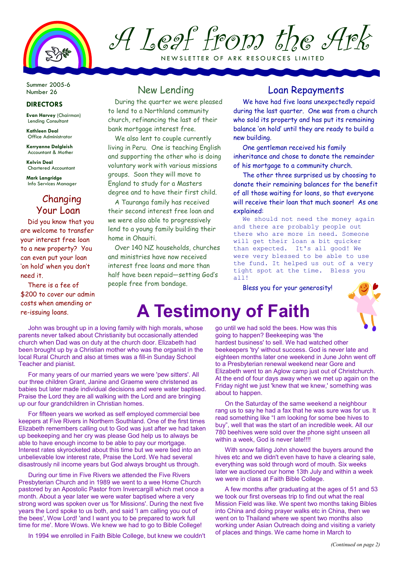

# A Leaf from the Ark

NEW SLETTER OF ARK RESOURCES LIMITED

Summer 2005-6 Number 26

#### **DIRECTORS**

Evan Harvey (Chairman) Lending Consultant

Kathleen Deal Office Administrator

Kerryanne Dalgleish Accountant & Mother

Kelvin Deal Chartered Accountant

Mark Langridge Info Services Manager

#### Changing Your Loan

Did you know that you are welcome to transfer your interest free loan to a new property? You can even put your loan 'on hold' when you don't need it.

There is a fee of \$200 to cover our admin costs when amending or

### New Lending

During the quarter we were pleased to lend to a Northland community church, refinancing the last of their bank mortgage interest free.

We also lent to couple currently living in Peru. One is teaching English and supporting the other who is doing voluntary work with various missions groups. Soon they will move to England to study for a Masters degree and to have their first child.

A Tauranga family has received their second interest free loan and we were also able to progressively lend to a young family building their home in Ohauiti.

Over 140 NZ households, churches and ministries have now received interest free loans and more than half have been repaid—setting God's people free from bondage.

#### Loan Repayments

We have had five loans unexpectedly repaid during the last quarter. One was from a church who sold its property and has put its remaining balance 'on hold' until they are ready to build a new building.

One gentleman received his family inheritance and chose to donate the remainder of his mortgage to a community church.

The other three surprised us by choosing to donate their remaining balances for the benefit of all those waiting for loans, so that everyone will receive their loan that much sooner! As one explained:

We should not need the money again and there are probably people out there who are more in need. Someone will get their loan a bit quicker than expected. It's all good! We were very blessed to be able to use the fund. It helped us out of a very tight spot at the time. Bless you all!

Bless you for your generosity!



## costs when amenaing or **A Testimony of Faith**

John was brought up in a loving family with high morals, whose parents never talked about Christianity but occasionally attended church when Dad was on duty at the church door. Elizabeth had been brought up by a Christian mother who was the organist in the local Rural Church and also at times was a fill-in Sunday School Teacher and pianist.

For many years of our married years we were 'pew sitters'. All our three children Grant, Janine and Graeme were christened as babies but later made individual decisions and were water baptised. Praise the Lord they are all walking with the Lord and are bringing up our four grandchildren in Christian homes.

For fifteen years we worked as self employed commercial bee keepers at Five Rivers in Northern Southland. One of the first times Elizabeth remembers calling out to God was just after we had taken up beekeeping and her cry was please God help us to always be able to have enough income to be able to pay our mortgage. Interest rates skyrocketed about this time but we were tied into an unbelievable low interest rate, Praise the Lord. We had several disastrously nil income years but God always brought us through.

During our time in Five Rivers we attended the Five Rivers Presbyterian Church and in 1989 we went to a wee Home Church pastored by an Apostolic Pastor from Invercargill which met once a month. About a year later we were water baptised where a very strong word was spoken over us 'for Missions'. During the next five years the Lord spoke to us both, and said 'I am calling you out of the bees', Wow Lord! 'and I want you to be prepared to work full time for me'. More Wows. We knew we had to go to Bible College!

In 1994 we enrolled in Faith Bible College, but knew we couldn't

go until we had sold the bees. How was this going to happen? Beekeeping was 'the hardest business' to sell. We had watched other beekeepers 'try' without success. God is never late and eighteen months later one weekend in June John went off to a Presbyterian renewal weekend near Gore and Elizabeth went to an Aglow camp just out of Christchurch. At the end of four days away when we met up again on the Friday night we just 'knew that we knew,' something was about to happen.

On the Saturday of the same weekend a neighbour rang us to say he had a fax that he was sure was for us. It read something like "I am looking for some bee hives to buy", well that was the start of an incredible week. All our 780 beehives were sold over the phone sight unseen all within a week, God is never late!!!!

With snow falling John showed the buyers around the hives etc and we didn't even have to have a clearing sale, everything was sold through word of mouth. Six weeks later we auctioned our home 13th July and within a week we were in class at Faith Bible College.

A few months after graduating at the ages of 51 and 53 we took our first overseas trip to find out what the real Mission Field was like. We spent two months taking Bibles into China and doing prayer walks etc in China, then we went on to Thailand where we spent two months also working under Asian Outreach doing and visiting a variety of places and things. We came home in March to